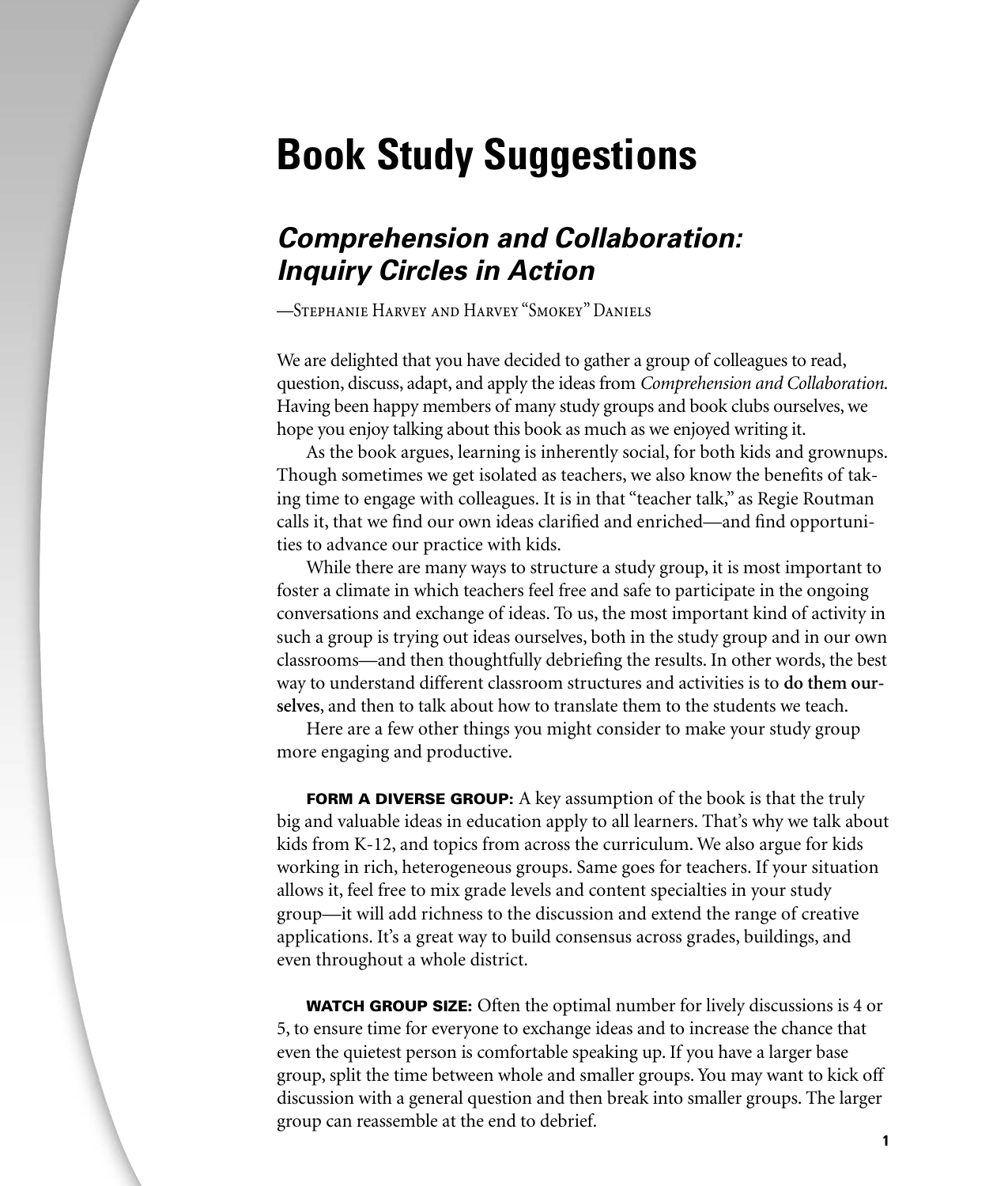# **Book Study Suggestions**

# **Comprehension and Collaboration: Inquiry Circles in Action**

—Stephanie Harvey and Harvey "Smokey" Daniels

We are delighted that you have decided to gather a group of colleagues to read, question, discuss, adapt, and apply the ideas from *Comprehension and Collaboration*. Having been happy members of many study groups and book clubs ourselves, we hope you enjoy talking about this book as much as we enjoyed writing it.

As the book argues, learning is inherently social, for both kids and grownups. Though sometimes we get isolated as teachers, we also know the benefits of taking time to engage with colleagues. It is in that "teacher talk," as Regie Routman calls it, that we find our own ideas clarified and enriched—and find opportunities to advance our practice with kids.

While there are many ways to structure a study group, it is most important to foster a climate in which teachers feel free and safe to participate in the ongoing conversations and exchange of ideas. To us, the most important kind of activity in such a group is trying out ideas ourselves, both in the study group and in our own classrooms—and then thoughtfully debriefing the results. In other words, the best way to understand different classroom structures and activities is to **do them ourselves**, and then to talk about how to translate them to the students we teach.

Here are a few other things you might consider to make your study group more engaging and productive.

**FORM A DIVERSE GROUP:** A key assumption of the book is that the truly big and valuable ideas in education apply to all learners. That's why we talk about kids from K-12, and topics from across the curriculum. We also argue for kids working in rich, heterogeneous groups. Same goes for teachers. If your situation allows it, feel free to mix grade levels and content specialties in your study group—it will add richness to the discussion and extend the range of creative applications. It's a great way to build consensus across grades, buildings, and even throughout a whole district.

**WATCH GROUP SIZE:** Often the optimal number for lively discussions is 4 or 5, to ensure time for everyone to exchange ideas and to increase the chance that even the quietest person is comfortable speaking up. If you have a larger base group, split the time between whole and smaller groups. You may want to kick off discussion with a general question and then break into smaller groups. The larger group can reassemble at the end to debrief.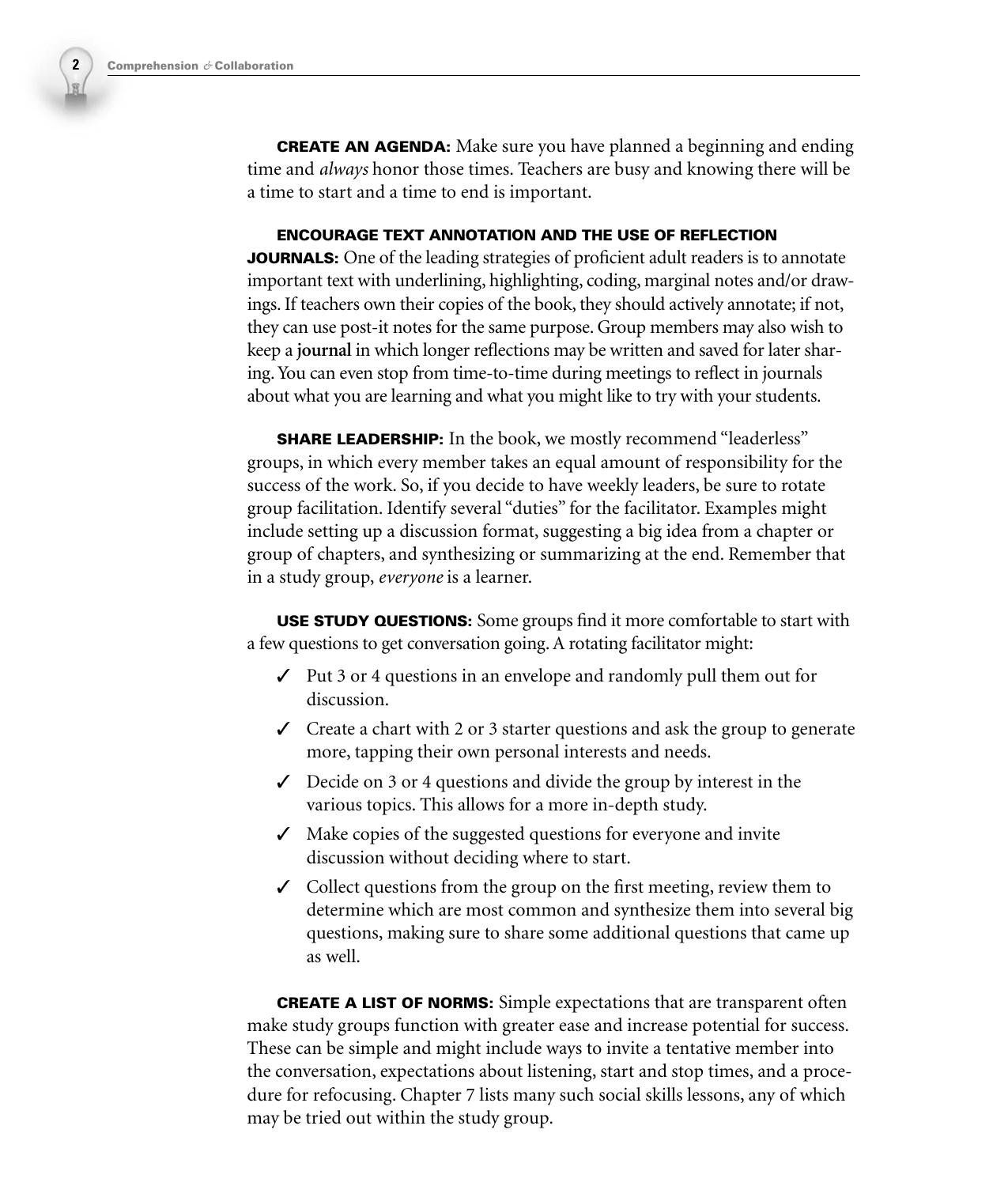**CREATE AN AGENDA:** Make sure you have planned a beginning and ending time and *always* honor those times. Teachers are busy and knowing there will be a time to start and a time to end is important.

#### **ENCOURAGE TEXT ANNOTATION AND THE USE OF REFLECTION**

**JOURNALS:** One of the leading strategies of proficient adult readers is to annotate important text with underlining, highlighting, coding, marginal notes and/or drawings. If teachers own their copies of the book, they should actively annotate; if not, they can use post-it notes for the same purpose. Group members may also wish to keep a **journal** in which longer reflections may be written and saved for later sharing. You can even stop from time-to-time during meetings to reflect in journals about what you are learning and what you might like to try with your students.

**SHARE LEADERSHIP:** In the book, we mostly recommend "leaderless" groups, in which every member takes an equal amount of responsibility for the success of the work. So, if you decide to have weekly leaders, be sure to rotate group facilitation. Identify several "duties" for the facilitator. Examples might include setting up a discussion format, suggesting a big idea from a chapter or group of chapters, and synthesizing or summarizing at the end. Remember that in a study group, *everyone* is a learner.

**USE STUDY QUESTIONS:** Some groups find it more comfortable to start with a few questions to get conversation going. A rotating facilitator might:

- $\checkmark$  Put 3 or 4 questions in an envelope and randomly pull them out for discussion.
- $\checkmark$  Create a chart with 2 or 3 starter questions and ask the group to generate more, tapping their own personal interests and needs.
- $\checkmark$  Decide on 3 or 4 questions and divide the group by interest in the various topics. This allows for a more in-depth study.
- ✓ Make copies of the suggested questions for everyone and invite discussion without deciding where to start.
- $\angle$  Collect questions from the group on the first meeting, review them to determine which are most common and synthesize them into several big questions, making sure to share some additional questions that came up as well.

**CREATE A LIST OF NORMS:** Simple expectations that are transparent often make study groups function with greater ease and increase potential for success. These can be simple and might include ways to invite a tentative member into the conversation, expectations about listening, start and stop times, and a procedure for refocusing. Chapter 7 lists many such social skills lessons, any of which may be tried out within the study group.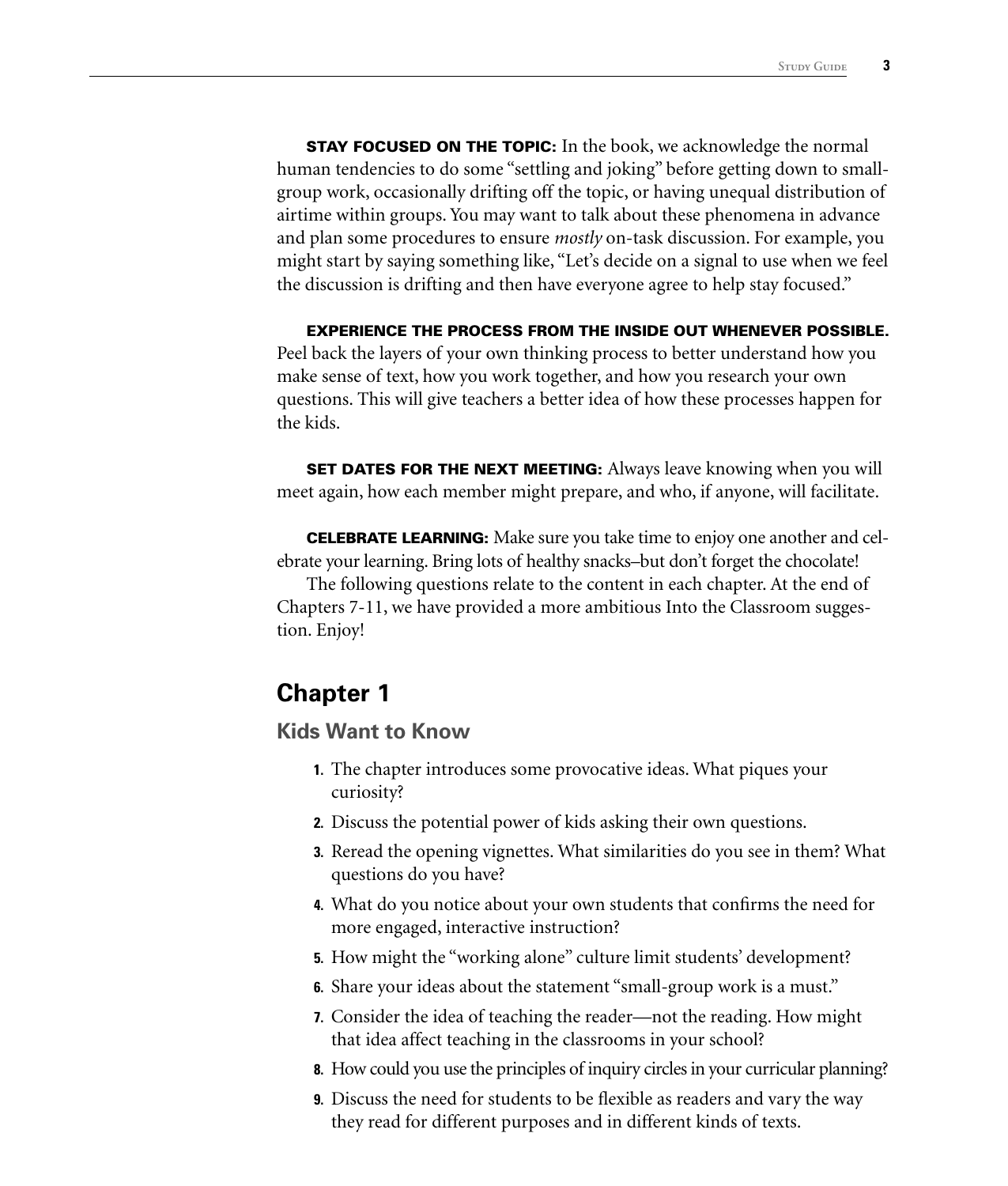**STAY FOCUSED ON THE TOPIC:** In the book, we acknowledge the normal human tendencies to do some "settling and joking" before getting down to smallgroup work, occasionally drifting off the topic, or having unequal distribution of airtime within groups. You may want to talk about these phenomena in advance and plan some procedures to ensure *mostly* on-task discussion. For example, you might start by saying something like, "Let's decide on a signal to use when we feel the discussion is drifting and then have everyone agree to help stay focused."

#### **EXPERIENCE THE PROCESS FROM THE INSIDE OUT WHENEVER POSSIBLE.**

Peel back the layers of your own thinking process to better understand how you make sense of text, how you work together, and how you research your own questions. This will give teachers a better idea of how these processes happen for the kids.

**SET DATES FOR THE NEXT MEETING:** Always leave knowing when you will meet again, how each member might prepare, and who, if anyone, will facilitate.

**CELEBRATE LEARNING:** Make sure you take time to enjoy one another and celebrate your learning. Bring lots of healthy snacks–but don't forget the chocolate!

The following questions relate to the content in each chapter. At the end of Chapters 7-11, we have provided a more ambitious Into the Classroom suggestion. Enjoy!

### **Chapter 1**

#### **Kids Want to Know**

- **1.** The chapter introduces some provocative ideas. What piques your curiosity?
- **2.** Discuss the potential power of kids asking their own questions.
- **3.** Reread the opening vignettes. What similarities do you see in them? What questions do you have?
- **4.** What do you notice about your own students that confirms the need for more engaged, interactive instruction?
- **5.** How might the "working alone" culture limit students' development?
- **6.** Share your ideas about the statement "small-group work is a must."
- **7.** Consider the idea of teaching the reader—not the reading. How might that idea affect teaching in the classrooms in your school?
- **8.** How could you use the principles of inquiry circles in your curricular planning?
- **9.** Discuss the need for students to be flexible as readers and vary the way they read for different purposes and in different kinds of texts.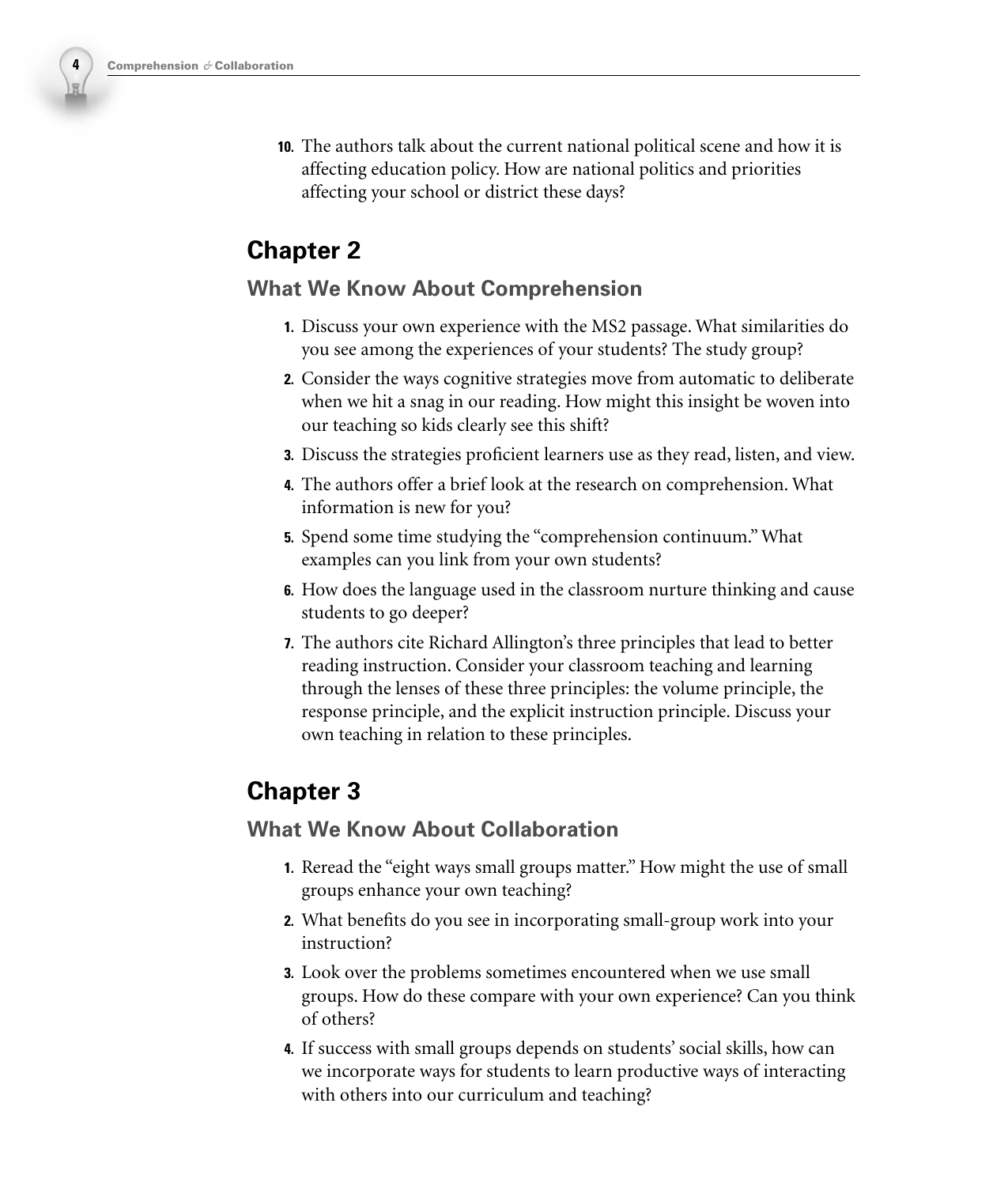**10.** The authors talk about the current national political scene and how it is affecting education policy. How are national politics and priorities affecting your school or district these days?

# **Chapter 2**

### **What We Know About Comprehension**

- **1.** Discuss your own experience with the MS2 passage. What similarities do you see among the experiences of your students? The study group?
- **2.** Consider the ways cognitive strategies move from automatic to deliberate when we hit a snag in our reading. How might this insight be woven into our teaching so kids clearly see this shift?
- **3.** Discuss the strategies proficient learners use as they read, listen, and view.
- **4.** The authors offer a brief look at the research on comprehension. What information is new for you?
- **5.** Spend some time studying the "comprehension continuum." What examples can you link from your own students?
- **6.** How does the language used in the classroom nurture thinking and cause students to go deeper?
- **7.** The authors cite Richard Allington's three principles that lead to better reading instruction. Consider your classroom teaching and learning through the lenses of these three principles: the volume principle, the response principle, and the explicit instruction principle. Discuss your own teaching in relation to these principles.

# **Chapter 3**

### **What We Know About Collaboration**

- **1.** Reread the "eight ways small groups matter." How might the use of small groups enhance your own teaching?
- **2.** What benefits do you see in incorporating small-group work into your instruction?
- **3.** Look over the problems sometimes encountered when we use small groups. How do these compare with your own experience? Can you think of others?
- **4.** If success with small groups depends on students' social skills, how can we incorporate ways for students to learn productive ways of interacting with others into our curriculum and teaching?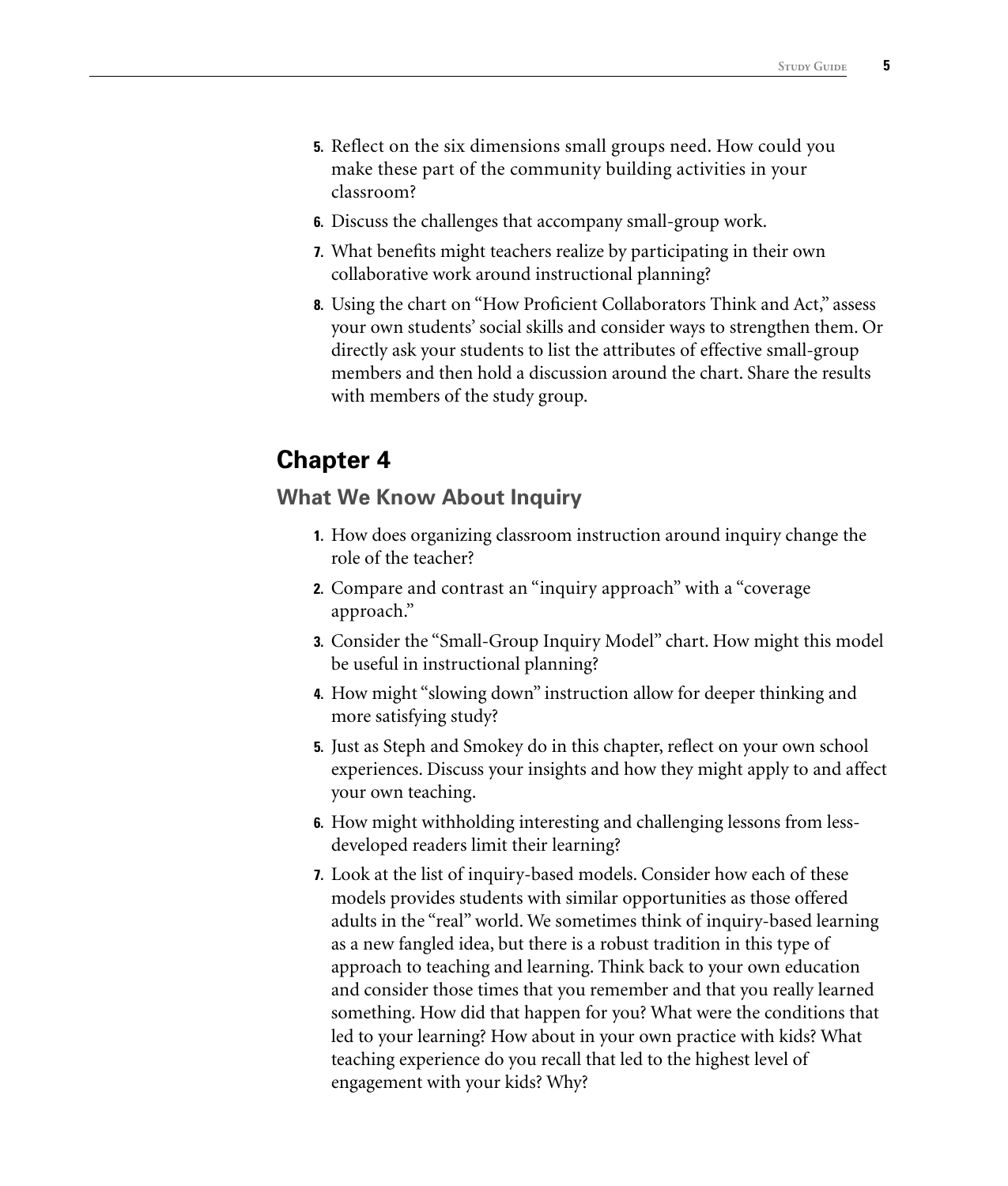- **5.** Reflect on the six dimensions small groups need. How could you make these part of the community building activities in your classroom?
- **6.** Discuss the challenges that accompany small-group work.
- **7.** What benefits might teachers realize by participating in their own collaborative work around instructional planning?
- **8.** Using the chart on "How Proficient Collaborators Think and Act," assess your own students' social skills and consider ways to strengthen them. Or directly ask your students to list the attributes of effective small-group members and then hold a discussion around the chart. Share the results with members of the study group.

### **What We Know About Inquiry**

- **1.** How does organizing classroom instruction around inquiry change the role of the teacher?
- **2.** Compare and contrast an "inquiry approach" with a "coverage approach."
- **3.** Consider the "Small-Group Inquiry Model" chart. How might this model be useful in instructional planning?
- **4.** How might "slowing down" instruction allow for deeper thinking and more satisfying study?
- **5.** Just as Steph and Smokey do in this chapter, reflect on your own school experiences. Discuss your insights and how they might apply to and affect your own teaching.
- **6.** How might withholding interesting and challenging lessons from lessdeveloped readers limit their learning?
- **7.** Look at the list of inquiry-based models. Consider how each of these models provides students with similar opportunities as those offered adults in the "real" world. We sometimes think of inquiry-based learning as a new fangled idea, but there is a robust tradition in this type of approach to teaching and learning. Think back to your own education and consider those times that you remember and that you really learned something. How did that happen for you? What were the conditions that led to your learning? How about in your own practice with kids? What teaching experience do you recall that led to the highest level of engagement with your kids? Why?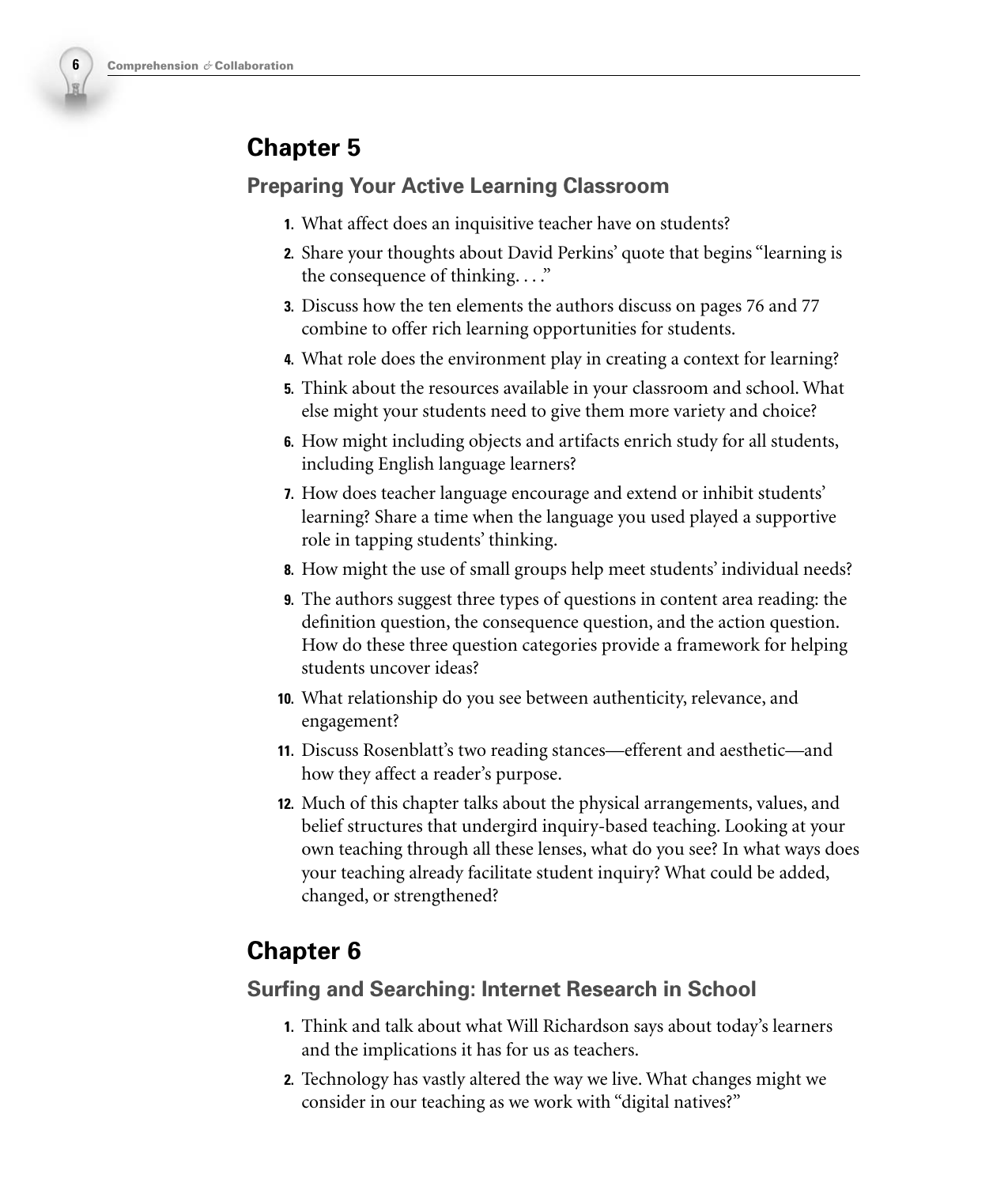

### **Preparing Your Active Learning Classroom**

- **1.** What affect does an inquisitive teacher have on students?
- **2.** Share your thoughts about David Perkins' quote that begins "learning is the consequence of thinking...."
- **3.** Discuss how the ten elements the authors discuss on pages 76 and 77 combine to offer rich learning opportunities for students.
- **4.** What role does the environment play in creating a context for learning?
- **5.** Think about the resources available in your classroom and school. What else might your students need to give them more variety and choice?
- **6.** How might including objects and artifacts enrich study for all students, including English language learners?
- **7.** How does teacher language encourage and extend or inhibit students' learning? Share a time when the language you used played a supportive role in tapping students' thinking.
- **8.** How might the use of small groups help meet students' individual needs?
- **9.** The authors suggest three types of questions in content area reading: the definition question, the consequence question, and the action question. How do these three question categories provide a framework for helping students uncover ideas?
- **10.** What relationship do you see between authenticity, relevance, and engagement?
- **11.** Discuss Rosenblatt's two reading stances—efferent and aesthetic—and how they affect a reader's purpose.
- **12.** Much of this chapter talks about the physical arrangements, values, and belief structures that undergird inquiry-based teaching. Looking at your own teaching through all these lenses, what do you see? In what ways does your teaching already facilitate student inquiry? What could be added, changed, or strengthened?

# **Chapter 6**

### **Surfing and Searching: Internet Research in School**

- **1.** Think and talk about what Will Richardson says about today's learners and the implications it has for us as teachers.
- **2.** Technology has vastly altered the way we live. What changes might we consider in our teaching as we work with "digital natives?"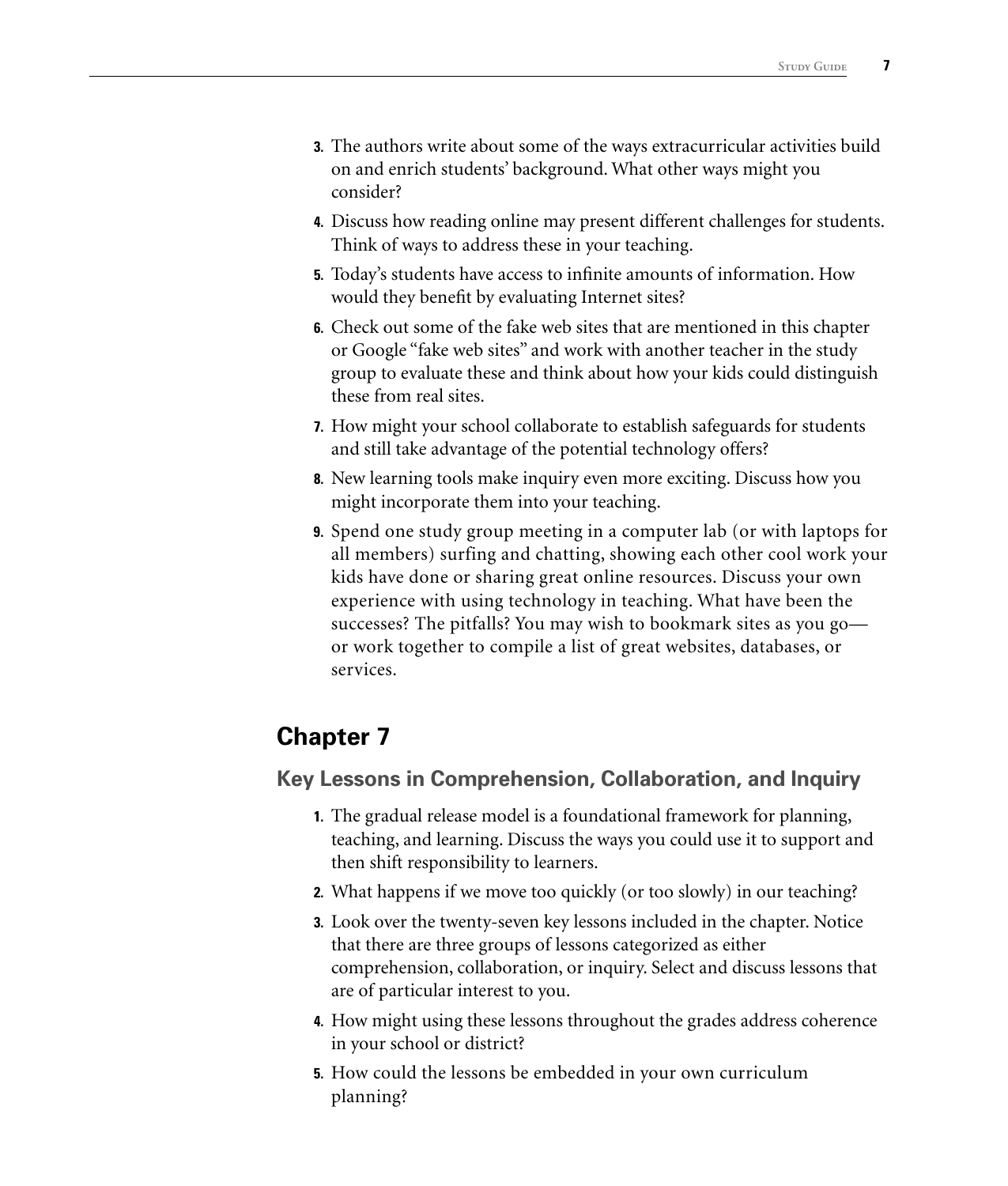- **3.** The authors write about some of the ways extracurricular activities build on and enrich students' background. What other ways might you consider?
- **4.** Discuss how reading online may present different challenges for students. Think of ways to address these in your teaching.
- **5.** Today's students have access to infinite amounts of information. How would they benefit by evaluating Internet sites?
- **6.** Check out some of the fake web sites that are mentioned in this chapter or Google "fake web sites" and work with another teacher in the study group to evaluate these and think about how your kids could distinguish these from real sites.
- **7.** How might your school collaborate to establish safeguards for students and still take advantage of the potential technology offers?
- **8.** New learning tools make inquiry even more exciting. Discuss how you might incorporate them into your teaching.
- **9.** Spend one study group meeting in a computer lab (or with laptops for all members) surfing and chatting, showing each other cool work your kids have done or sharing great online resources. Discuss your own experience with using technology in teaching. What have been the successes? The pitfalls? You may wish to bookmark sites as you go or work together to compile a list of great websites, databases, or services.

### **Key Lessons in Comprehension, Collaboration, and Inquiry**

- **1.** The gradual release model is a foundational framework for planning, teaching, and learning. Discuss the ways you could use it to support and then shift responsibility to learners.
- **2.** What happens if we move too quickly (or too slowly) in our teaching?
- **3.** Look over the twenty-seven key lessons included in the chapter. Notice that there are three groups of lessons categorized as either comprehension, collaboration, or inquiry. Select and discuss lessons that are of particular interest to you.
- **4.** How might using these lessons throughout the grades address coherence in your school or district?
- **5.** How could the lessons be embedded in your own curriculum planning?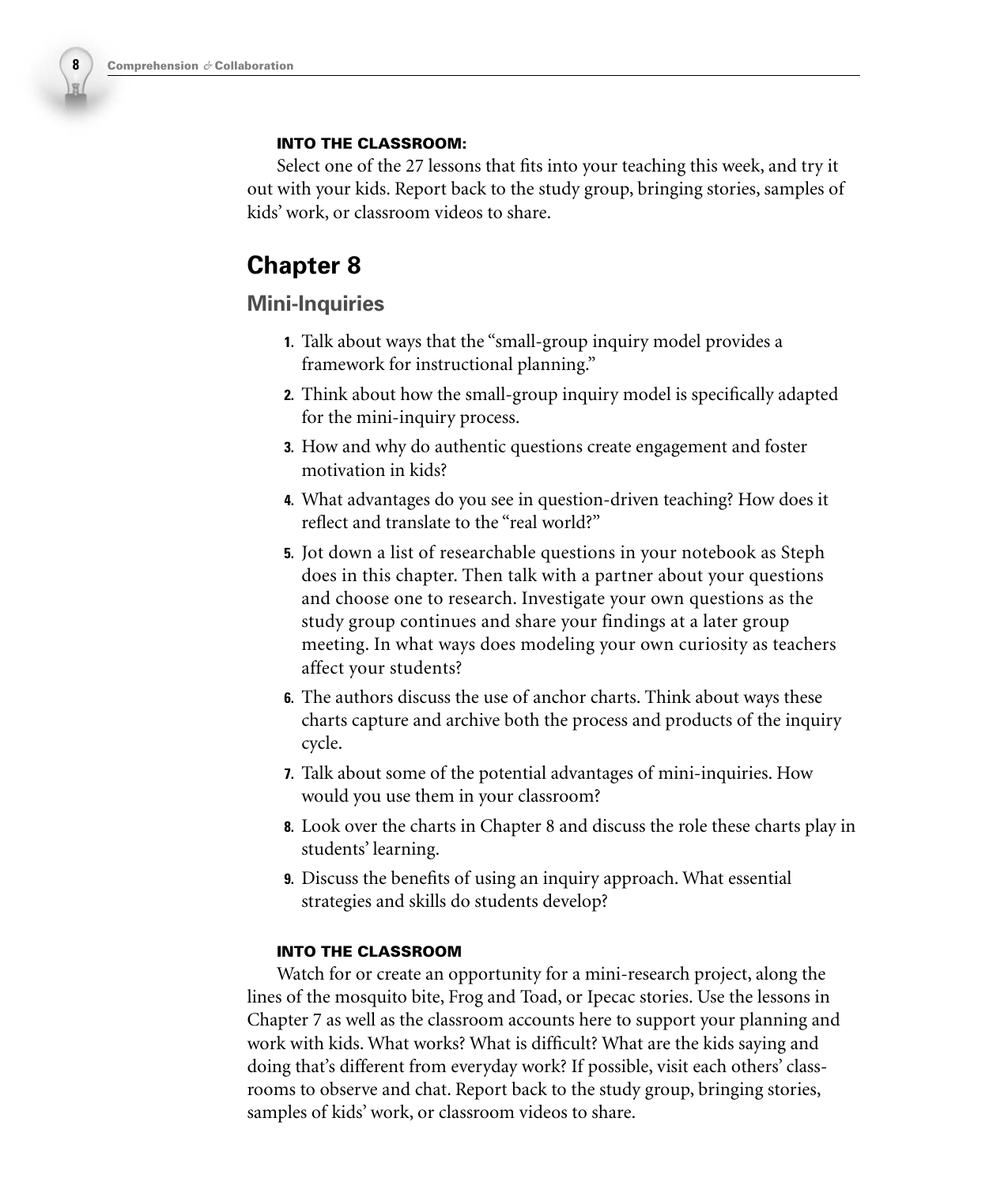#### **INTO THE CLASSROOM:**

Select one of the 27 lessons that fits into your teaching this week, and try it out with your kids. Report back to the study group, bringing stories, samples of kids' work, or classroom videos to share.

# **Chapter 8**

### **Mini-Inquiries**

- **1.** Talk about ways that the "small-group inquiry model provides a framework for instructional planning."
- **2.** Think about how the small-group inquiry model is specifically adapted for the mini-inquiry process.
- **3.** How and why do authentic questions create engagement and foster motivation in kids?
- **4.** What advantages do you see in question-driven teaching? How does it reflect and translate to the "real world?"
- **5.** Jot down a list of researchable questions in your notebook as Steph does in this chapter. Then talk with a partner about your questions and choose one to research. Investigate your own questions as the study group continues and share your findings at a later group meeting. In what ways does modeling your own curiosity as teachers affect your students?
- **6.** The authors discuss the use of anchor charts. Think about ways these charts capture and archive both the process and products of the inquiry cycle.
- **7.** Talk about some of the potential advantages of mini-inquiries. How would you use them in your classroom?
- **8.** Look over the charts in Chapter 8 and discuss the role these charts play in students' learning.
- **9.** Discuss the benefits of using an inquiry approach. What essential strategies and skills do students develop?

#### **INTO THE CLASSROOM**

Watch for or create an opportunity for a mini-research project, along the lines of the mosquito bite, Frog and Toad, or Ipecac stories. Use the lessons in Chapter 7 as well as the classroom accounts here to support your planning and work with kids. What works? What is difficult? What are the kids saying and doing that's different from everyday work? If possible, visit each others' classrooms to observe and chat. Report back to the study group, bringing stories, samples of kids' work, or classroom videos to share.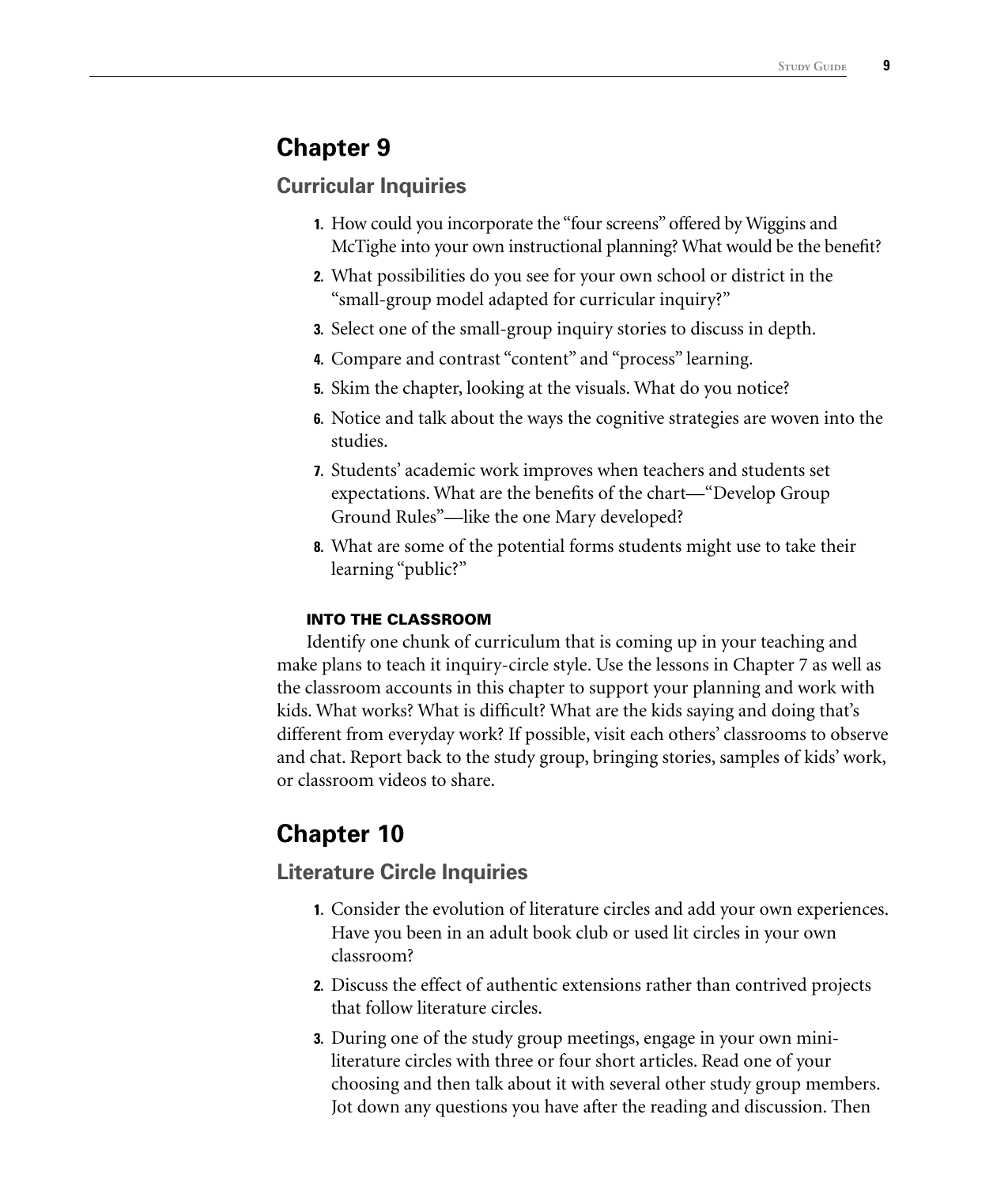#### **Curricular Inquiries**

- **1.** How could you incorporate the "four screens" offered by Wiggins and McTighe into your own instructional planning? What would be the benefit?
- **2.** What possibilities do you see for your own school or district in the "small-group model adapted for curricular inquiry?"
- **3.** Select one of the small-group inquiry stories to discuss in depth.
- **4.** Compare and contrast "content" and "process" learning.
- **5.** Skim the chapter, looking at the visuals. What do you notice?
- **6.** Notice and talk about the ways the cognitive strategies are woven into the studies.
- **7.** Students' academic work improves when teachers and students set expectations. What are the benefits of the chart—"Develop Group Ground Rules"—like the one Mary developed?
- **8.** What are some of the potential forms students might use to take their learning "public?"

#### **INTO THE CLASSROOM**

Identify one chunk of curriculum that is coming up in your teaching and make plans to teach it inquiry-circle style. Use the lessons in Chapter 7 as well as the classroom accounts in this chapter to support your planning and work with kids. What works? What is difficult? What are the kids saying and doing that's different from everyday work? If possible, visit each others' classrooms to observe and chat. Report back to the study group, bringing stories, samples of kids' work, or classroom videos to share.

# **Chapter 10**

#### **Literature Circle Inquiries**

- **1.** Consider the evolution of literature circles and add your own experiences. Have you been in an adult book club or used lit circles in your own classroom?
- **2.** Discuss the effect of authentic extensions rather than contrived projects that follow literature circles.
- **3.** During one of the study group meetings, engage in your own miniliterature circles with three or four short articles. Read one of your choosing and then talk about it with several other study group members. Jot down any questions you have after the reading and discussion. Then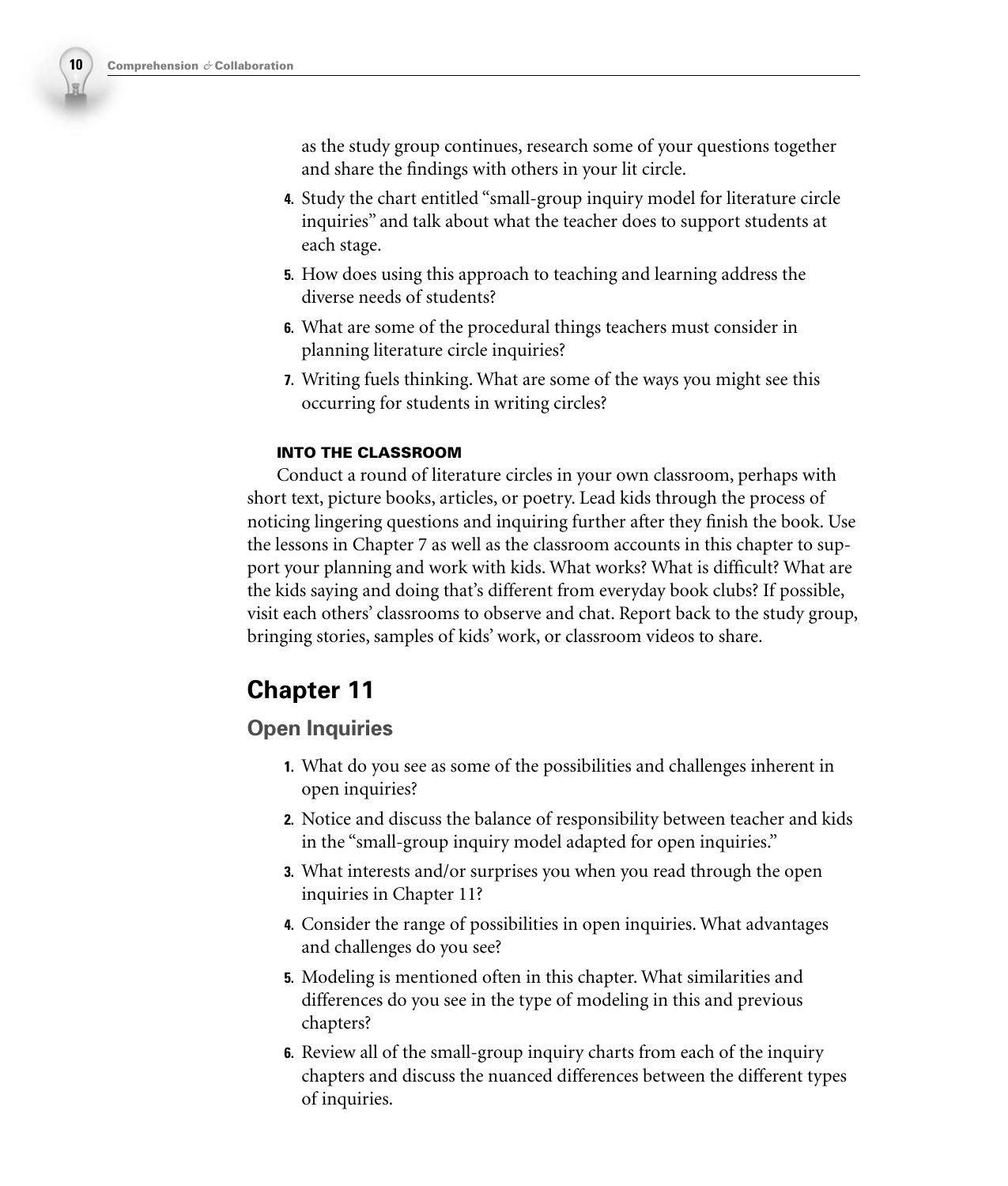as the study group continues, research some of your questions together and share the findings with others in your lit circle.

- **4.** Study the chart entitled "small-group inquiry model for literature circle inquiries" and talk about what the teacher does to support students at each stage.
- **5.** How does using this approach to teaching and learning address the diverse needs of students?
- **6.** What are some of the procedural things teachers must consider in planning literature circle inquiries?
- **7.** Writing fuels thinking. What are some of the ways you might see this occurring for students in writing circles?

#### **INTO THE CLASSROOM**

Conduct a round of literature circles in your own classroom, perhaps with short text, picture books, articles, or poetry. Lead kids through the process of noticing lingering questions and inquiring further after they finish the book. Use the lessons in Chapter 7 as well as the classroom accounts in this chapter to support your planning and work with kids. What works? What is difficult? What are the kids saying and doing that's different from everyday book clubs? If possible, visit each others' classrooms to observe and chat. Report back to the study group, bringing stories, samples of kids' work, or classroom videos to share.

# **Chapter 11**

#### **Open Inquiries**

- **1.** What do you see as some of the possibilities and challenges inherent in open inquiries?
- **2.** Notice and discuss the balance of responsibility between teacher and kids in the "small-group inquiry model adapted for open inquiries."
- **3.** What interests and/or surprises you when you read through the open inquiries in Chapter 11?
- **4.** Consider the range of possibilities in open inquiries. What advantages and challenges do you see?
- **5.** Modeling is mentioned often in this chapter. What similarities and differences do you see in the type of modeling in this and previous chapters?
- **6.** Review all of the small-group inquiry charts from each of the inquiry chapters and discuss the nuanced differences between the different types of inquiries.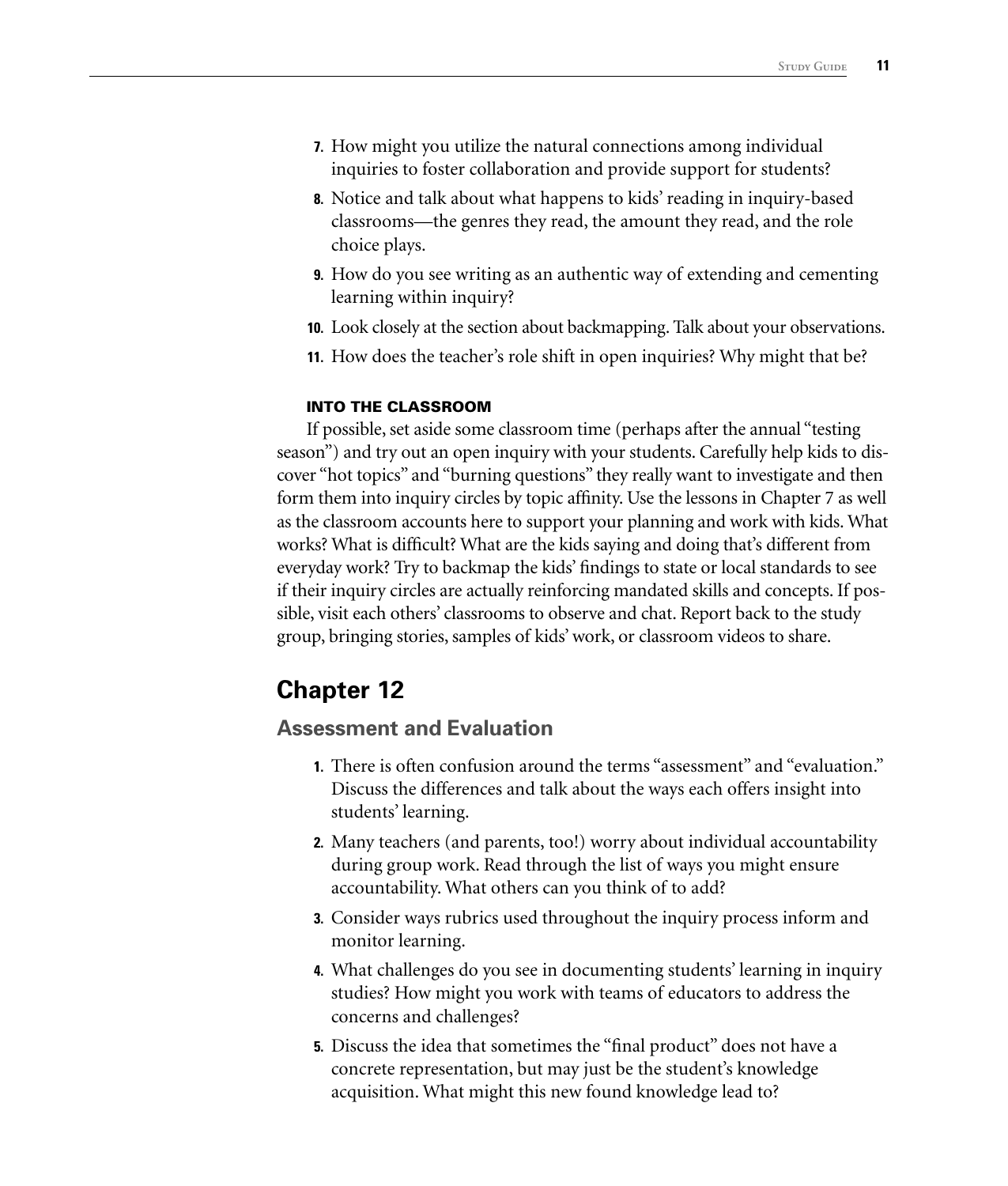- **7.** How might you utilize the natural connections among individual inquiries to foster collaboration and provide support for students?
- **8.** Notice and talk about what happens to kids' reading in inquiry-based classrooms—the genres they read, the amount they read, and the role choice plays.
- **9.** How do you see writing as an authentic way of extending and cementing learning within inquiry?
- **10.** Look closely at the section about backmapping. Talk about your observations.
- **11.** How does the teacher's role shift in open inquiries? Why might that be?

#### **INTO THE CLASSROOM**

If possible, set aside some classroom time (perhaps after the annual "testing season") and try out an open inquiry with your students. Carefully help kids to discover "hot topics" and "burning questions" they really want to investigate and then form them into inquiry circles by topic affinity. Use the lessons in Chapter 7 as well as the classroom accounts here to support your planning and work with kids. What works? What is difficult? What are the kids saying and doing that's different from everyday work? Try to backmap the kids' findings to state or local standards to see if their inquiry circles are actually reinforcing mandated skills and concepts. If possible, visit each others' classrooms to observe and chat. Report back to the study group, bringing stories, samples of kids' work, or classroom videos to share.

### **Chapter 12**

#### **Assessment and Evaluation**

- **1.** There is often confusion around the terms "assessment" and "evaluation." Discuss the differences and talk about the ways each offers insight into students' learning.
- **2.** Many teachers (and parents, too!) worry about individual accountability during group work. Read through the list of ways you might ensure accountability. What others can you think of to add?
- **3.** Consider ways rubrics used throughout the inquiry process inform and monitor learning.
- **4.** What challenges do you see in documenting students' learning in inquiry studies? How might you work with teams of educators to address the concerns and challenges?
- **5.** Discuss the idea that sometimes the "final product" does not have a concrete representation, but may just be the student's knowledge acquisition. What might this new found knowledge lead to?